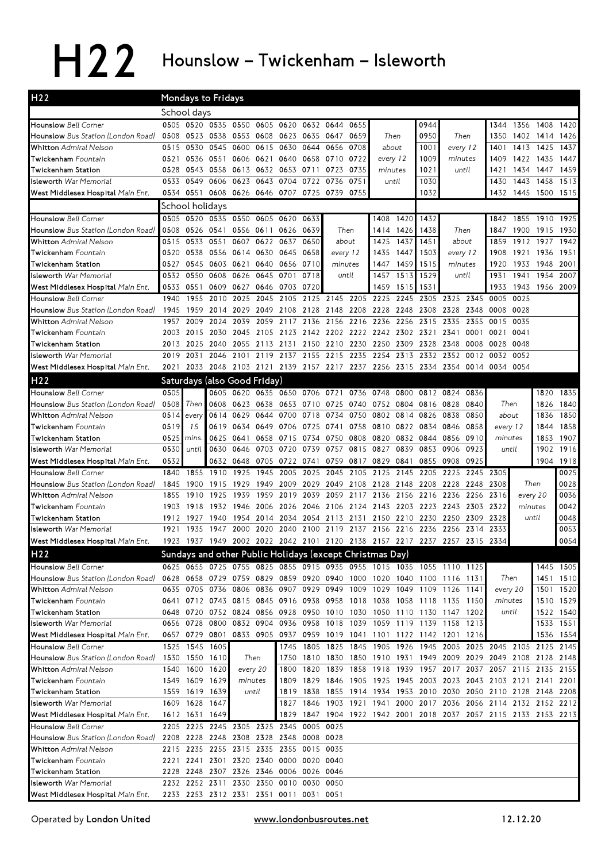## H22 Hounslow - Twickenham - Isleworth

| H <sub>2</sub> 2                                                         | Mondays to Fridays |                                  |                                                          |                               |              |                |                     |              |                |                                         |                   |           |                                                                       |              |           |           |                                                                                    |              |
|--------------------------------------------------------------------------|--------------------|----------------------------------|----------------------------------------------------------|-------------------------------|--------------|----------------|---------------------|--------------|----------------|-----------------------------------------|-------------------|-----------|-----------------------------------------------------------------------|--------------|-----------|-----------|------------------------------------------------------------------------------------|--------------|
|                                                                          |                    | School days                      |                                                          |                               |              |                |                     |              |                |                                         |                   |           |                                                                       |              |           |           |                                                                                    |              |
| <b>Hounslow Bell Corner</b>                                              |                    |                                  | 0505 0520 0535 0550                                      |                               | 0605         |                | 0620 0632 0644      |              | 0655           |                                         |                   | 0944      |                                                                       |              | 1344      | 1356      | 1408                                                                               | 1420         |
| <b>Hounslow</b> Bus Station (London Road)                                | 0508               |                                  | 0523 0538 0553 0608 0623 0635 0647 0659                  |                               |              |                |                     |              |                |                                         | Then              | 0950      | Then                                                                  |              | 1350      | 1402      | 1414                                                                               | 1426         |
| Whitton Admiral Nelson                                                   | 0515               | 0530                             | 0545 0600                                                |                               | 0615         | 0630 0644      |                     | 0656 0708    |                | about                                   |                   | 1001      | every 12                                                              |              | 1401      | 1413      | 1425                                                                               | 1437         |
| <b>Twickenham</b> Fountain                                               | 0521               |                                  | 0536 0551                                                | 0606                          | 0621         |                | 0640 0658           | 0710 0722    |                | every 12                                |                   | 1009      | minutes                                                               |              | 1409      | 1422 1435 |                                                                                    | 1447         |
| Twickenham Station                                                       | 0528               | 0543                             | 0558                                                     | 0613                          |              | 0632 0653 0711 |                     | 0723         | 0735           | minutes                                 |                   | 1021      | until                                                                 |              | 1421      | 1434      | 1447                                                                               | 1459         |
| <b>Isleworth</b> War Memorial                                            | 0533               | 0549                             | 0606                                                     | 0623                          | 0643         | 0704           | 0722                | 0736         | 0751           |                                         | until             | 1030      |                                                                       |              | 1430      | 1443      | 1458                                                                               | 1513         |
| West Middlesex Hospital <i>Main Ent.</i>                                 | 0534               | 0551                             |                                                          | 0608 0626 0646 0707 0725      |              |                |                     | 0739         | 0755           |                                         |                   | 1032      |                                                                       |              | 1432      | 1445      | 1500 1515                                                                          |              |
|                                                                          |                    | School holidays                  |                                                          |                               |              |                |                     |              |                |                                         |                   |           |                                                                       |              |           |           |                                                                                    |              |
| Hounslow Bell Corner                                                     |                    |                                  | 0505 0520 0535 0550 0605 0620 0633                       |                               |              |                |                     |              |                | 1408                                    | 1420              | 1432      |                                                                       |              |           |           | 1842 1855 1910 1925                                                                |              |
| <b>Hounslow</b> Bus Station (London Road)                                | 0508               |                                  | 0526 0541 0556 0611                                      |                               |              | 0626 0639      |                     | Then         |                | 1414                                    | 1426              | 1438      | Then                                                                  |              | 1847      | 1900      | 1915 1930                                                                          |              |
| <b>Whitton</b> Admiral Nelson                                            | 0515               | 0533 0551                        |                                                          | 0607 0622 0637                |              |                | 0650                | about        |                | 1425                                    | 1437              | 1451      | about                                                                 |              | 1859      | 1912 1927 |                                                                                    | 1942         |
| <b>Twickenham</b> Fountain                                               | 0520               | 0538                             | 0556 0614                                                |                               |              | 0630 0645 0658 |                     | every 12     |                | 1435                                    | 1447              | 1503      | every 12                                                              |              | 1908      | 1921      | 1936                                                                               | 1951         |
| Twickenham Station                                                       | 0527               | 0545                             | 0603 0621                                                |                               |              | 0640 0656 0710 |                     | minutes      |                | 1447                                    | 1459              | 1515      | minutes                                                               |              | 1920      | 1933      | 1948                                                                               | 2001         |
| <b>Isleworth War Memorial</b>                                            | 0532               | 0550                             | 0608                                                     | 0626                          | 0645         | 0701           | 0718                | until        |                | 1457                                    | 1513              | 1529      | until                                                                 |              | 1931      | 1941      | 1954                                                                               | 2007         |
| West Middlesex Hospital Main Ent.                                        | 0533               | 0551                             | 0609 0627                                                |                               |              | 0646 0703 0720 |                     |              |                | 1459                                    | 1515              | 1531      |                                                                       |              | 1933      | 1943      | 1956 2009                                                                          |              |
| <b>Hounslow</b> Bell Corner                                              | 1940               | 1955                             | 2010 2025                                                |                               | 2045         |                |                     |              |                | 2105 2125 2145 2205 2225 2245           |                   |           | 2305 2325 2345                                                        |              | 0005 0025 |           |                                                                                    |              |
| <b>Hounslow</b> Bus Station (London Road)                                | 1945               | 1959                             | 2014 2029                                                |                               |              |                |                     |              |                | 2049 2108 2128 2148 2208 2228 2248      |                   |           | 2308 2328 2348                                                        |              | 0008 0028 |           |                                                                                    |              |
| <b>Whitton</b> Admiral Nelson                                            | 1957               | 2009                             | 2024 2039                                                |                               | 2059         |                | 2117 2136           |              | 2156 2216 2236 |                                         | 2256              | 2315      | 2335                                                                  | 2355         | 0015 0035 |           |                                                                                    |              |
| Twickenham Fountain                                                      | 2003               | 2015                             | 2030 2045                                                |                               | 2105         |                |                     |              |                | 2123 2142 2202 2222 2242 2302 2321      |                   |           | 2341                                                                  | 0001         | 0021 0041 |           |                                                                                    |              |
| Twickenham Station                                                       | 2013               | 2025                             | 2040 2055                                                |                               |              |                |                     |              |                | 2113 2131 2150 2210 2230 2250 2309      |                   | 2328 2348 |                                                                       | 0008         | 0028      | 0048      |                                                                                    |              |
| <b>Isleworth War Memorial</b>                                            | 2019               | 2031                             | 2046                                                     | 2101                          | 2119         | 2137           | 2155                | 2215         | 2235           | 2254                                    | 2313              | 2332      | 2352                                                                  | 0012         | 0032      | 0052      |                                                                                    |              |
| West Middlesex Hospital Main Ent.                                        |                    | 2021 2033                        |                                                          |                               |              |                |                     |              |                |                                         |                   |           | 2048 2103 2121 2139 2157 2217 2237 2256 2315 2334 2354 0014 0034 0054 |              |           |           |                                                                                    |              |
| H <sub>2</sub> 2                                                         |                    |                                  | Saturdays (also Good Friday)                             |                               |              |                |                     |              |                |                                         |                   |           |                                                                       |              |           |           |                                                                                    |              |
| <b>Hounslow Bell Corner</b>                                              | 0505               |                                  | 0605                                                     | 0620                          |              |                | 0635 0650 0706 0721 |              | 0736           | 0748                                    | 0800              |           | 0812 0824                                                             | 0836         |           |           | 1820                                                                               | 1835         |
| Hounslow Bus Station (London Road)                                       | 0508               | Then                             | 0608                                                     | 0623                          |              | 0638 0653 0710 |                     |              |                | 0725 0740 0752 0804 0816 0828           |                   |           |                                                                       | 0840         | Then      |           | 1826                                                                               | 1840         |
| <b>Whitton</b> Admiral Nelson                                            | 0514               | every                            | 0614                                                     | 0629                          | 0644         | 0700           | 0718                | 0734         | 0750           | 0802                                    | 0814              | 0826      | 0838                                                                  | 0850         | about     |           | 1836                                                                               | 1850         |
| <b>Twickenham</b> Fountain                                               | 0519               | 15                               |                                                          | 0619 0634                     | 0649         | 0706 0725      |                     | 0741         | 0758           | 0810                                    | 0822              | 0834 0846 |                                                                       | 0858         | every 12  |           | 1844                                                                               | 1858         |
| Twickenham Station                                                       | 0525               | mins.                            | 0625 0641                                                |                               |              | 0658 0715 0734 |                     | 0750 0808    |                | 0820                                    |                   | 0832 0844 | 0856                                                                  | 0910         | minutes   |           | 1853                                                                               | 1907         |
| <b>Isleworth</b> War Memorial                                            | 0530               | until                            | 0630                                                     | 0646                          | 0703         | 0720           | 0739                | 0757 0815    |                | 0827                                    | 0839              | 0853      | 0906                                                                  | 0923         | until     |           | 1902                                                                               | 1916         |
| West Middlesex Hospital Main Ent.                                        | 0532               |                                  |                                                          | 0632 0648                     |              | 0705 0722 0741 |                     |              | 0759 0817 0829 |                                         | 0841              | 0855      | 0908                                                                  | 0925         | 2305      |           | 1904                                                                               | 1918         |
| <b>Hounslow</b> Bell Corner<br><b>Hounslow</b> Bus Station (London Road) | 1840<br>1845       | 1855<br>1900                     | 1910<br>1915                                             | 1925<br>1929                  | 1945<br>1949 | 2005<br>2009   | 2025<br>2029        | 2045<br>2049 | 2105<br>2108   | 2125<br>2128                            | 2145<br>2148 2208 | 2205      | 2225<br>2228                                                          | 2245<br>2248 | 2308      |           | Then                                                                               | 0025<br>0028 |
| <b>Whitton</b> Admiral Nelson                                            | 1855               | 1910                             | 1925                                                     | 1939                          | 1959         | 2019           | 2039                | 2059         | 2117           | 2136                                    | 2156              | 2216      | 2236                                                                  | 2256         | 2316      | every 20  |                                                                                    | 0036         |
| Twickenham Fountain                                                      | 1903               | 1918                             | 1932 1946                                                |                               | 2006         |                |                     |              |                | 2026 2046 2106 2124 2143 2203 2223 2243 |                   |           |                                                                       | 2303         | 2322      | minutes   |                                                                                    | 0042         |
| Twickenham Station                                                       | 1912               | 1927                             | 1940                                                     | 1954                          | 2014         |                | 2034 2054           | 2113 2131    |                | 2150                                    | 2210              | 2230      | 2250                                                                  | 2309         | 2328      |           | until                                                                              | 0048         |
| <b>Isleworth</b> War Memorial                                            | 1921               | 1935                             | 1947                                                     | 2000                          | 2020         |                | 2040 2100           | 2119 2137    |                | 2156                                    | 2216              | 2236      | 2256                                                                  | 2314         | 2333      |           |                                                                                    | 0053         |
| West Middlesex Hospital Main Ent.                                        | 1923               |                                  |                                                          |                               |              |                |                     |              |                |                                         |                   |           | 1937 1949 2002 2022 2042 2101 2120 2138 2157 2217 2237 2257 2315      |              | 2334      |           |                                                                                    | 0054         |
| H22                                                                      |                    |                                  | Sundays and other Public Holidays (except Christmas Day) |                               |              |                |                     |              |                |                                         |                   |           |                                                                       |              |           |           |                                                                                    |              |
| Hounslow Bell Corner                                                     |                    |                                  |                                                          |                               |              |                |                     |              |                |                                         |                   |           | 0625 0655 0725 0755 0825 0855 0915 0935 0955 1015 1035 1055 1110 1125 |              |           |           |                                                                                    | 1445 1505    |
| <b>Hounslow</b> Bus Station (London Road)                                |                    |                                  |                                                          |                               |              |                |                     |              |                |                                         |                   |           | 0628 0658 0729 0759 0829 0859 0920 0940 1000 1020 1040 1100 1116 1131 |              | Then      |           |                                                                                    | 1451 1510    |
| <b>Whitton</b> Admiral Nelson                                            |                    |                                  |                                                          |                               |              |                |                     |              |                |                                         |                   |           | 0635 0705 0736 0806 0836 0907 0929 0949 1009 1029 1049 1109 1126 1141 |              | every 20  |           |                                                                                    | 1501 1520    |
| Twickenham Fountain                                                      |                    |                                  |                                                          |                               |              |                |                     |              |                |                                         |                   |           | 0641 0712 0743 0815 0845 0916 0938 0958 1018 1038 1058 1118 1135 1150 |              | minutes   |           |                                                                                    | 1510 1529    |
| Twickenham Station                                                       |                    |                                  |                                                          |                               |              |                |                     |              |                |                                         |                   |           | 0648 0720 0752 0824 0856 0928 0950 1010 1030 1050 1110 1130 1147 1202 |              | until     |           |                                                                                    | 1522 1540    |
| <b>Isleworth War Memorial</b>                                            |                    |                                  |                                                          |                               |              |                |                     |              |                |                                         |                   |           | 0656 0728 0800 0832 0904 0936 0958 1018 1039 1059 1119 1139 1158 1213 |              |           |           |                                                                                    | 1533 1551    |
| West Middlesex Hospital Main Ent.                                        |                    |                                  |                                                          |                               |              |                |                     |              |                |                                         |                   |           | 0657 0729 0801 0833 0905 0937 0959 1019 1041 1101 1122 1142 1201 1216 |              |           |           |                                                                                    | 1536 1554    |
| <b>Hounslow</b> Bell Corner                                              |                    |                                  | 1525 1545 1605                                           |                               |              |                |                     |              |                |                                         |                   |           |                                                                       |              |           |           | 1745 1805 1825 1845 1905 1926 1945 2005 2025 2045 2105 2125 2145                   |              |
| Hounslow Bus Station (London Road)                                       |                    | 1530 1550 1610                   |                                                          |                               | Then         |                | 1820                | 1839 1858    |                |                                         |                   |           | 1918 1939 1957 2017 2037                                              |              |           |           | 1750 1810 1830 1850 1910 1931 1949 2009 2029 2049 2108 2128 2148<br>2057 2115 2135 |              |
| <b>Whitton</b> Admiral Nelson<br>Twickenham Fountain                     |                    | 1540 1600 1620<br>1549 1609 1629 |                                                          | every 20<br>minutes           |              | 1800           |                     |              |                |                                         |                   |           |                                                                       |              |           |           | 1809 1829 1846 1905 1925 1945 2003 2023 2043 2103 2121 2141 2201                   | 2155         |
| Twickenham Station                                                       |                    | 1559 1619 1639                   |                                                          |                               | until        |                |                     |              |                |                                         |                   |           |                                                                       |              |           |           | 1819 1838 1855 1914 1934 1953 2010 2030 2050 2110 2128 2148 2208                   |              |
| Isleworth <i>War Memorial</i>                                            |                    | 1609 1628 1647                   |                                                          |                               |              |                |                     |              |                |                                         |                   |           |                                                                       |              |           |           | 1827 1846 1903 1921 1941 2000 2017 2036 2056 2114 2132 2152 2212                   |              |
| West Middlesex Hospital Main Ent.                                        |                    | 1612 1631 1649                   |                                                          |                               |              |                |                     |              |                |                                         |                   |           |                                                                       |              |           |           | 1829 1847 1904 1922 1942 2001 2018 2037 2057 2115 2133 2153 2213                   |              |
| <b>Hounslow</b> Bell Corner                                              |                    |                                  | 2205 2225 2245 2305 2325 2345 0005 0025                  |                               |              |                |                     |              |                |                                         |                   |           |                                                                       |              |           |           |                                                                                    |              |
| <b>Hounslow</b> Bus Station (London Road)                                |                    |                                  | 2208 2228 2248 2308 2328 2348 0008 0028                  |                               |              |                |                     |              |                |                                         |                   |           |                                                                       |              |           |           |                                                                                    |              |
| <b>Whitton</b> Admiral Nelson                                            |                    |                                  | 2215 2235 2255 2315 2335 2355 0015                       |                               |              |                |                     | 0035         |                |                                         |                   |           |                                                                       |              |           |           |                                                                                    |              |
| Twickenham Fountain                                                      |                    | 2221 2241                        |                                                          | 2301 2320 2340 0000 0020 0040 |              |                |                     |              |                |                                         |                   |           |                                                                       |              |           |           |                                                                                    |              |
| Twickenham Station                                                       |                    |                                  | 2228 2248 2307 2326 2346 0006 0026 0046                  |                               |              |                |                     |              |                |                                         |                   |           |                                                                       |              |           |           |                                                                                    |              |
| sleworth War Memorial                                                    |                    |                                  | 2232 2252 2311 2330 2350 0010 0030 0050                  |                               |              |                |                     |              |                |                                         |                   |           |                                                                       |              |           |           |                                                                                    |              |
| West Middlesex Hospital Main Ent.                                        |                    |                                  | 2233 2253 2312 2331 2351 0011 0031 0051                  |                               |              |                |                     |              |                |                                         |                   |           |                                                                       |              |           |           |                                                                                    |              |